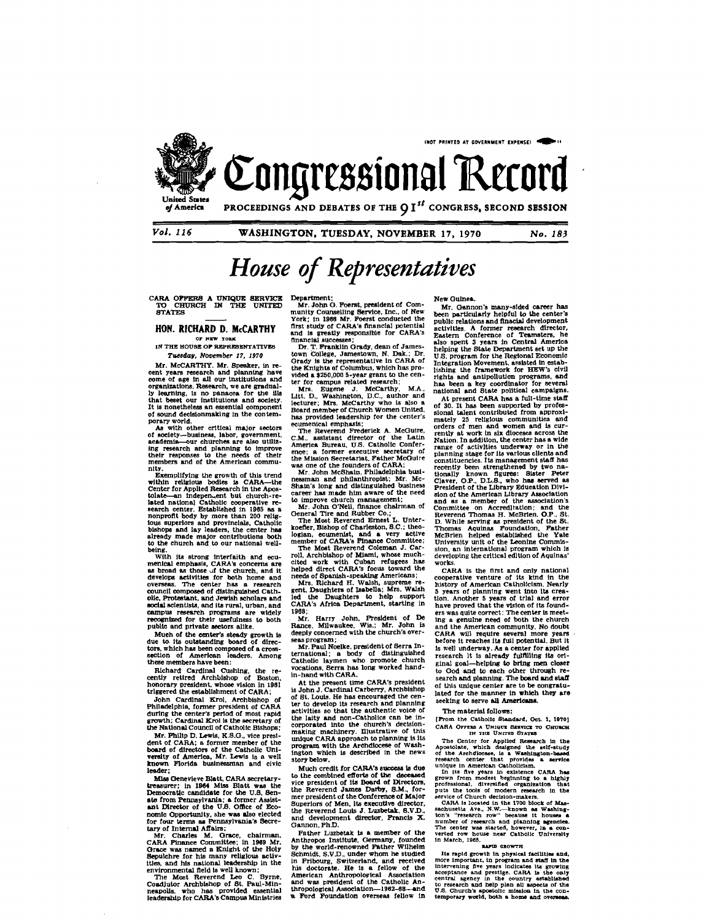

Congressional Record

PROCEEDINGS AND DEBATES OF THE Q I<sup>st</sup> CONGRESS, SECOND SESSION

Vol. 116

WASHINGTON, TUESDAY, NOVEMBER 17, 1970

# House of Representatives

CARA OFFERS A UNIQUE SERVICE<br>TO CHURCH IN THE UNITED **PTATTS** 

## HON. RICHARD D. McCARTHY OF NEW YORK

IN THE HOUSE OF REPRESENTATIVES Tuesday, November 17, 1970

Mr. McCARTHY. Mr. Speaker, in re-<br>cent years research and planning have<br>come of age in all our institutions and organizations. Research, we are gradualorganizations, research, we are gradual-<br>by learning, is no panacea for the like<br>that beset our institutions and society.<br>It is nonetheless an essential component

It is nonetheless an essential component<br>of sound decision<br>making in the contem-<br>porary world.<br>As with other critical major sectors<br>of society-business, labor, government,<br>academia-our churches are also utiliz-<br>ing researc nity.

Inty.<br>Exemplifying the growth of this trend<br>within religious bodies is CARA—the<br>Center for Applied Research in the Apos $with in$ Center for Applied Research in the Aposton<br>tolate—an independent in the Apostolate—an independent but church-re-<br>lated national Catholic cooperative research center. Extablished in 1985 as a<br>nonprofit body by more than 200

being.<br>with its strong interfaith and ecu-<br>with its strong interfaith and ecuwith its storing international ecu-<br>menical emphasis, CARA's concerns are<br>as broad as those of the church, and it<br>develops activities for both home and<br>ourcell composed of distinguished Cath-<br>council composed of distinguis council composed of distributions and<br>social scientists, and its rural, urban, and<br>social scientists, and its rural, urban, and<br>campus research programs are widely recognized for their usefulness to both public and private sectors alike.

Much of the center's steady growth is<br>to the contract of direc-<br>tors, which has been composed of a cross-<br>tors, of a cross-<br>ection of American leaders. Among these members have been.

these members have been:<br>
Richard Cardinal Cushing, the re-<br>
cently retired Archbishop of Boston,<br>
honorary president, whose vision in 1961<br>
triggered the establishment of CARA;

district the estational Krol, Archbishop of<br>Philadelphia, former president of CARA<br>during the center's period of most rapid<br>growth; Cardinal Krol is the secretary of<br>the National Council of Catholic Bishops;

Mr. Philip D. Lewis, K.S.G., vice presient of CARA; a former member of the<br>board of directors of the Catholic Uni-<br>versity of America, Mr. Lewis is a well<br>known Florida businessman and civic leader

Miss Genevieve Blatt, CARA secretary-<br>treasurer; in 1964 Miss Blatt was the<br>reasurer; in 1964 Miss Blatt was the<br>neorcatic candidate for the U.S. Sen-<br>ate from Pennsylvania; a former Assistant Director of the U.S. Office o Miss Genevieve Blatt. CARA secretary-

Department;<br>Mr. John G. Foerst, president of Com-Mar. John G. Toene, preside, first and the Tourist Counciling Service, fire., of New<br>York; in 1966 Mr. Foerst conducted the first study of CARA's financial potential<br>and is greatly responsible for CARA's<br>financial successe

financial successes;<br>
Dr. T. Franklin Grady, dean of James-<br>
Dr. T. Franklin Grady, dean of James<br>
Lown College, Jamestown, N. Dak.; Dr.<br>
Grady is the representative in CARA of<br>
the Knights of Columbus, which has pro-<br>
vid

has provided leadership for the center's

Basical member of Church Women United,<br>
has provided leadership for the center's<br>
cumenical emphasis;<br>
The Reverent Frederick A. McGuire,<br>
The Reverent Frederick A. McGuire,<br>
The Reverent Frederick A. McGuire<br>
c. M., assis

release reversion operator of Miami, whose much-<br>cited work with Cuban refugees has<br>helped direct CARA's focus toward the<br>needs of Spanish-speaking Americans;

Mrs. Richard H. Walsh, supreme regent, Daughters of Isabella; Mrs. Walsh, Supreme regent, Daughters to help support led the Daughters to help support CARA's Africa Department, starting in 1968

Nr. Harry John, President of De<br>Rance, Milwaukee, Wis.; Mr. John is<br>deeply concerned with the church's overseas program;

as program,<br>Mr. Paul Noelke, president of Serra Insurrational; a body of distinguished<br>Catholic laymen who promote church<br>vocations, Serra has long worked hand-<br>in-hand with CARA.

At the present time CARA's president<br>is John J. Cardinal Carberry, Archbishop is John J. Cardinal Carberry, Archbishop<br>of St. Louis. He has encouraged the cen-<br>ber to develop its research and planning<br>activities so that the authentic voice of<br>the laity and non-Catholics can be in-<br>corporated into t

story below.<br>
Much credit for CARA's success is due<br>
to the combined efforts of the deceased<br>
vice president of its Board of Directors,<br>
the Reverend James Darby, S.M., for-<br>
mer president of the Conference of Major<br>
Super Gannon, Ph.D.

Gannon, Ph.D.<br>
Father Luzbetak is a member of the<br>
Father Luzbetak is a member of the<br>
Anthropos Institute, Germany, founded<br>
by the world-renowned Father Wilhelm<br>
Schmidt, S.V.D., under whom he studied<br>
in Fribourg, Switz a Ford Foundation overseas fellow in

New Guinea.

Mr. Gannon's many-sided career has<br>been particularly helpful to the center's<br>public relations and finacial development public relations and finacial development<br>activities. A former research director,<br>Eastern Conference of Teamsters, he<br>also spent 3 years in Central America<br>helping the State Department set up the<br>U.S. program for the Regio rights and antipollution programs, and<br>has been a key coordinator for several<br>national and State political campaigns.

No. 183

(NOT PRINTED AT GOVERNMENT EXPENSE)

At present CARA has a full-time staff<br>of 30. It has been supported by profes-<br>sional talent contributed from approxiof 30. It has been supported by protesting by processional talent contributed from approximately 25 religious communities and<br>orders of men and women and is currently at work in six dioceses across the<br>range of activities works

CARA is the first and only national<br>cooperative venture of its kind in the<br>history of American Catholicism, Nearly Allows of planning went into its crea-<br>tion. Another 5 years of trial and error<br>have proved that the vision of its found-<br>ers was quite correct: The center is meeting a genuine need of both the church and the American community. No doubt CARA will require several more years before it reaches its full potential. But it is well underway. As a center for applied<br>research it is already fulfilling its oriresearch it is already funning its ori-<br>ginal goal--helping to bring men closer<br>to God and to each other through re-<br>search and planning. The board and staff<br>of this unique center are to be congratulated for the manner in which they are seeking to serve all Americans.

The material follows:

From the Catholic Standard, Oct. 1, 19701 CARA OFFERS A UNIQUE SERVICE TO CHURCH IN THE UNITED STATES

CARA OFFICE IN THE UNITED STATES OF THE CAR OF THE CAR AND THE UNITED STATES Approximate Approximate Approximate Approximate the estimated of the Architectochem in the West of the Architectochem of the State of the State o

# ..<br>**RAPID GROWTH**

nove in power and the physical facilities and,<br>more important, in program and staff in the<br>intervening five years indicates its growing<br>acceptance and prestige. CARA is the only<br>central agency in the country established<br>of